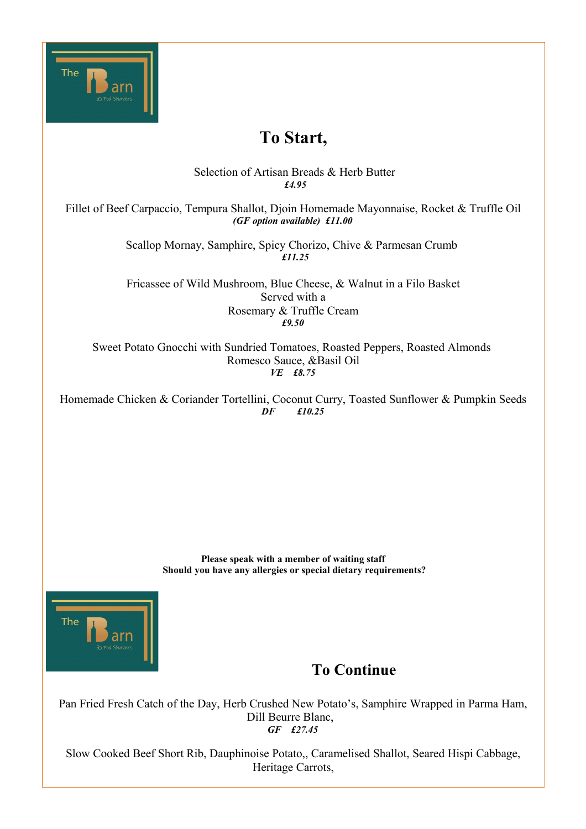

# **To Start,**

 Selection of Artisan Breads & Herb Butter  *£4.95*

Fillet of Beef Carpaccio, Tempura Shallot, Djoin Homemade Mayonnaise, Rocket & Truffle Oil *(GF option available) £11.00*

> Scallop Mornay, Samphire, Spicy Chorizo, Chive & Parmesan Crumb  *£11.25*

> Fricassee of Wild Mushroom, Blue Cheese, & Walnut in a Filo Basket Served with a Rosemary & Truffle Cream *£9.50*

Sweet Potato Gnocchi with Sundried Tomatoes, Roasted Peppers, Roasted Almonds Romesco Sauce, &Basil Oil *VE £8.75*

Homemade Chicken & Coriander Tortellini, Coconut Curry, Toasted Sunflower & Pumpkin Seeds  *DF £10.25* 

> **Please speak with a member of waiting staff Should you have any allergies or special dietary requirements?**



# **To Continue**

Pan Fried Fresh Catch of the Day, Herb Crushed New Potato's, Samphire Wrapped in Parma Ham, Dill Beurre Blanc, *GF £27.45*

Slow Cooked Beef Short Rib, Dauphinoise Potato,, Caramelised Shallot, Seared Hispi Cabbage, Heritage Carrots,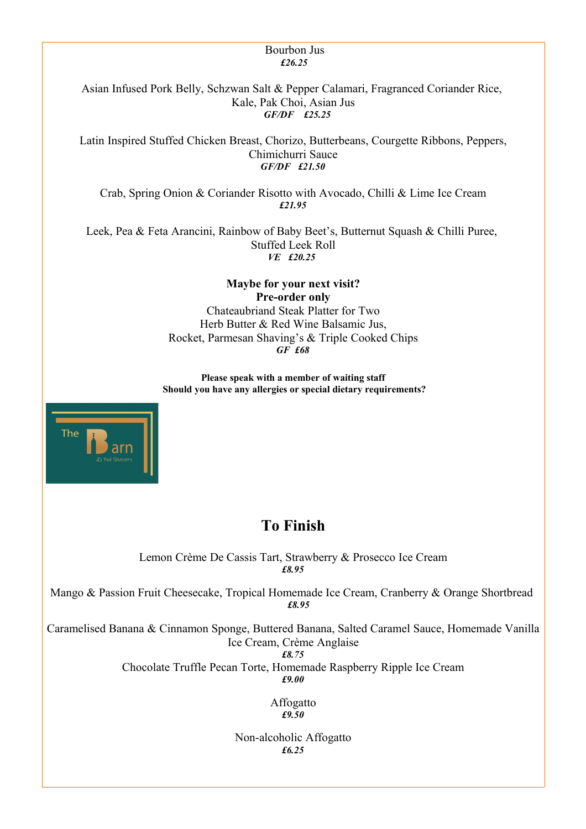#### Bourbon Jus  *£26.25*

Asian Infused Pork Belly, Schzwan Salt & Pepper Calamari, Fragranced Coriander Rice, Kale, Pak Choi, Asian Jus *GF/DF £25.25*

Latin Inspired Stuffed Chicken Breast, Chorizo, Butterbeans, Courgette Ribbons, Peppers, Chimichurri Sauce *GF/DF £21.50*

Crab, Spring Onion & Coriander Risotto with Avocado, Chilli & Lime Ice Cream *£21.95*

Leek, Pea & Feta Arancini, Rainbow of Baby Beet's, Butternut Squash & Chilli Puree, Stuffed Leek Roll *VE £20.25* 

> **Maybe for your next visit? Pre-order only** Chateaubriand Steak Platter for Two Herb Butter & Red Wine Balsamic Jus, Rocket, Parmesan Shaving's & Triple Cooked Chips *GF £68*

**Please speak with a member of waiting staff Should you have any allergies or special dietary requirements?**



# **To Finish**

Lemon Crème De Cassis Tart, Strawberry & Prosecco Ice Cream *£8.95*

Mango & Passion Fruit Cheesecake, Tropical Homemade Ice Cream, Cranberry & Orange Shortbread *£8.95*

Caramelised Banana & Cinnamon Sponge, Buttered Banana, Salted Caramel Sauce, Homemade Vanilla Ice Cream, Crème Anglaise

*£8.75*

Chocolate Truffle Pecan Torte, Homemade Raspberry Ripple Ice Cream

*£9.00*

Affogatto *£9.50*

Non-alcoholic Affogatto *£6.25*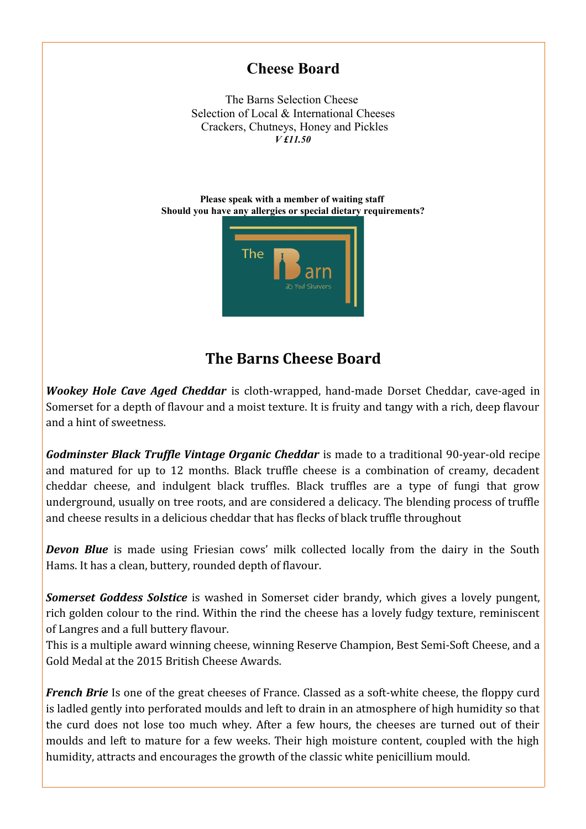### **Cheese Board**

The Barns Selection Cheese Selection of Local & International Cheeses Crackers, Chutneys, Honey and Pickles *V £11.50*

**Please speak with a member of waiting staff Should you have any allergies or special dietary requirements?**



# **The Barns Cheese Board**

*Wookey Hole Cave Aged Cheddar* is cloth-wrapped, hand-made Dorset Cheddar, cave-aged in Somerset for a depth of flavour and a moist texture. It is fruity and tangy with a rich, deep flavour and a hint of sweetness.

*Godminster Black Truffle Vintage Organic Cheddar* is made to a traditional 90-year-old recipe and matured for up to 12 months. Black truffle cheese is a combination of creamy, decadent cheddar cheese, and indulgent black truffles. Black truffles are a type of fungi that grow underground, usually on tree roots, and are considered a delicacy. The blending process of truffle and cheese results in a delicious cheddar that has flecks of black truffle throughout

*Devon Blue* is made using Friesian cows' milk collected locally from the dairy in the South Hams. It has a clean, buttery, rounded depth of flavour.

*Somerset Goddess Solstice* is washed in Somerset cider brandy, which gives a lovely pungent, rich golden colour to the rind. Within the rind the cheese has a lovely fudgy texture, reminiscent of Langres and a full buttery flavour.

This is a multiple award winning cheese, winning Reserve Champion, Best Semi-Soft Cheese, and a Gold Medal at the 2015 British Cheese Awards.

*French Brie* Is one of the great cheeses of France. Classed as a soft-white cheese, the floppy curd is ladled gently into perforated moulds and left to drain in an atmosphere of high humidity so that the curd does not lose too much whey. After a few hours, the cheeses are turned out of their moulds and left to mature for a few weeks. Their high moisture content, coupled with the high humidity, attracts and encourages the growth of the classic white penicillium mould.